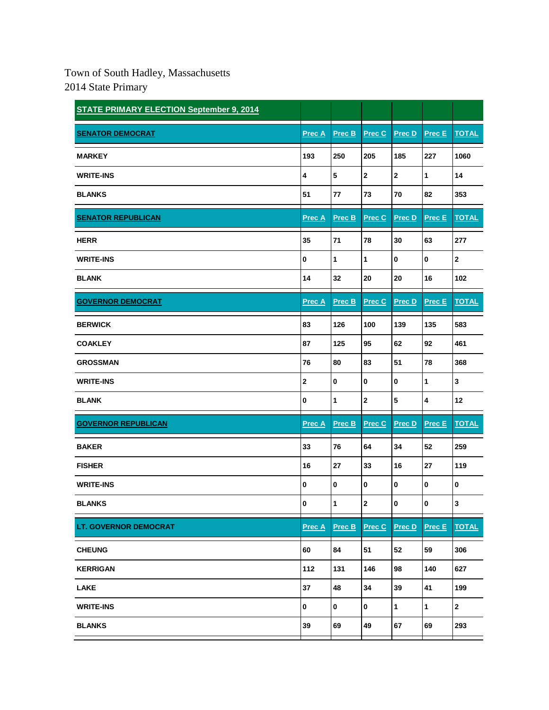## Town of South Hadley, Massachusetts 2014 State Primary

| <b>STATE PRIMARY ELECTION September 9, 2014</b> |               |              |               |                         |           |                         |
|-------------------------------------------------|---------------|--------------|---------------|-------------------------|-----------|-------------------------|
| <b>SENATOR DEMOCRAT</b>                         | Prec A        | Prec B       | Prec C        | Prec D                  | Prec E    | <b>TOTAL</b>            |
| <b>MARKEY</b>                                   | 193           | 250          | 205           | 185                     | 227       | 1060                    |
| <b>WRITE-INS</b>                                | $\pmb{4}$     | 5            | $\mathbf 2$   | $\overline{2}$          | 1         | 14                      |
| <b>BLANKS</b>                                   | 51            | 77           | 73            | 70                      | 82        | 353                     |
| <b>SENATOR REPUBLICAN</b>                       | Prec A        | Prec B       | <b>Prec C</b> | <b>Prec D</b>           | Prec E    | <b>TOTAL</b>            |
| <b>HERR</b>                                     | 35            | 71           | 78            | 30                      | 63        | 277                     |
| <b>WRITE-INS</b>                                | $\pmb{0}$     | $\mathbf{1}$ | $\mathbf{1}$  | $\overline{\mathbf{0}}$ | $\pmb{0}$ | $\overline{\mathbf{2}}$ |
| <b>BLANK</b>                                    | 14            | 32           | 20            | 20                      | 16        | 102                     |
| <b>GOVERNOR DEMOCRAT</b>                        | Prec A        | Prec B       | Prec C        | Prec D                  | Prec E    | <b>TOTAL</b>            |
| <b>BERWICK</b>                                  | 83            | 126          | 100           | 139                     | 135       | 583                     |
| <b>COAKLEY</b>                                  | 87            | 125          | 95            | 62                      | 92        | 461                     |
| <b>GROSSMAN</b>                                 | 76            | 80           | 83            | 51                      | 78        | 368                     |
| <b>WRITE-INS</b>                                | $\bf 2$       | $\bf{0}$     | $\pmb{0}$     | $\pmb{0}$               | 1         | $\mathbf{3}$            |
| <b>BLANK</b>                                    | $\pmb{0}$     | 1            | 2             | $\overline{\mathbf{5}}$ | 4         | 12                      |
| <b>GOVERNOR REPUBLICAN</b>                      | <b>Prec A</b> | Prec B       | Prec C        | Prec D                  | Prec E    | <b>TOTAL</b>            |
| <b>BAKER</b>                                    | 33            | 76           | 64            | 34                      | 52        | 259                     |
| <b>FISHER</b>                                   | 16            | 27           | 33            | 16                      | 27        | 119                     |
| <b>WRITE-INS</b>                                | $\pmb{0}$     | $\pmb{0}$    | $\pmb{0}$     | $\pmb{0}$               | $\pmb{0}$ | $\pmb{0}$               |
| <b>BLANKS</b>                                   | 0             | 1            | $\mathbf{z}$  | <b>O</b>                | 0         | 3                       |
| <b>LT. GOVERNOR DEMOCRAT</b>                    | Prec A        | Prec B       | Prec C        | Prec D                  | Prec E    | <b>TOTAL</b>            |
| <b>CHEUNG</b>                                   | 60            | 84           | 51            | 52                      | 59        | 306                     |
| <b>KERRIGAN</b>                                 | 112           | 131          | 146           | 98                      | 140       | 627                     |
| <b>LAKE</b>                                     | 37            | 48           | 34            | 39                      | 41        | 199                     |
| <b>WRITE-INS</b>                                | $\pmb{0}$     | $\mathbf 0$  | $\pmb{0}$     | $\mathbf{1}$            | 1         | $\mathbf{2}$            |
| <b>BLANKS</b>                                   | 39            | 69           | 49            | 67                      | 69        | 293                     |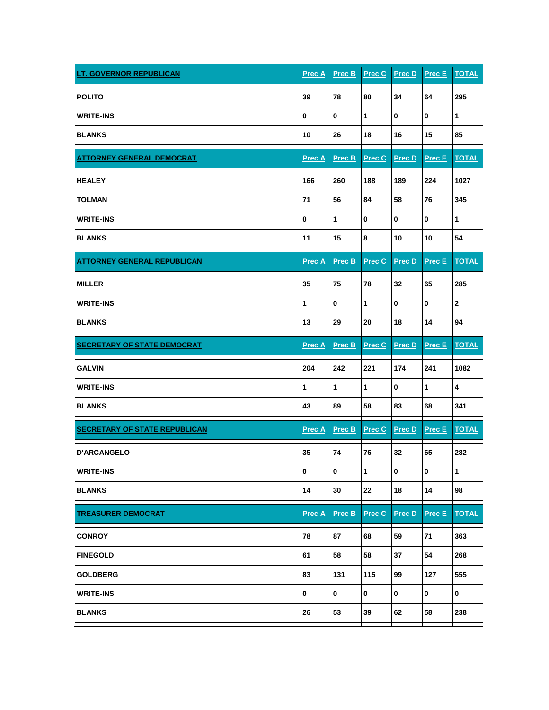| <b>LT. GOVERNOR REPUBLICAN</b>       | <b>Prec A</b>     | Prec B        | Prec C | Prec D    | Prec E    | <b>TOTAL</b> |
|--------------------------------------|-------------------|---------------|--------|-----------|-----------|--------------|
| <b>POLITO</b>                        | 39                | 78            | 80     | 34        | 64        | 295          |
| <b>WRITE-INS</b>                     | 0                 | $\pmb{0}$     | 1      | $\bf{0}$  | 0         | 1            |
| <b>BLANKS</b>                        | 10                | 26            | 18     | 16        | 15        | 85           |
| <b>ATTORNEY GENERAL DEMOCRAT</b>     | Prec <sub>A</sub> | Prec B        | Prec C | Prec D    | Prec E    | <b>TOTAL</b> |
| <b>HEALEY</b>                        | 166               | 260           | 188    | 189       | 224       | 1027         |
| TOLMAN                               | 71                | 56            | 84     | 58        | 76        | 345          |
| <b>WRITE-INS</b>                     | $\pmb{0}$         | $\mathbf{1}$  | 0      | 0         | 0         | 1            |
| <b>BLANKS</b>                        | 11                | 15            | 8      | 10        | 10        | 54           |
| <b>ATTORNEY GENERAL REPUBLICAN</b>   | <b>Prec A</b>     | Prec B        | Prec C | Prec D    | Prec E    | <b>TOTAL</b> |
| <b>MILLER</b>                        | 35                | 75            | 78     | 32        | 65        | 285          |
| <b>WRITE-INS</b>                     | 1                 | $\pmb{0}$     | 1      | 0         | 0         | $\bf 2$      |
| <b>BLANKS</b>                        | 13                | 29            | 20     | 18        | 14        | 94           |
| <b>SECRETARY OF STATE DEMOCRAT</b>   | <b>Prec A</b>     | Prec B        | Prec C | Prec D    | Prec E    | <b>TOTAL</b> |
| <b>GALVIN</b>                        | 204               | 242           | 221    | 174       | 241       | 1082         |
| <b>WRITE-INS</b>                     | 1                 | $\mathbf{1}$  | 1      | 0         | 1         | 4            |
| <b>BLANKS</b>                        | 43                | 89            | 58     | 83        | 68        | 341          |
| <b>SECRETARY OF STATE REPUBLICAN</b> | <u>Prec A</u>     | <b>Prec B</b> | Prec C | Prec D    | Prec E    | <b>TOTAL</b> |
| <b>D'ARCANGELO</b>                   | 35                | 74            | 76     | 32        | 65        | 282          |
| <b>WRITE-INS</b>                     | $\pmb{0}$         | $\pmb{0}$     | 1      | $\pmb{0}$ | $\pmb{0}$ | $\mathbf{1}$ |
| <b>BLANKS</b>                        | 14                | 30            | 22     | 18        | 14        | 98           |
| <b>TREASURER DEMOCRAT</b>            | Prec A            | Prec B        | Prec C | Prec D    | Prec E    | <b>TOTAL</b> |
| <b>CONROY</b>                        | 78                | 87            | 68     | 59        | 71        | 363          |
| <b>FINEGOLD</b>                      | 61                | 58            | 58     | 37        | 54        | 268          |
| <b>GOLDBERG</b>                      | 83                | 131           | 115    | 99        | 127       | 555          |
| <b>WRITE-INS</b>                     | $\pmb{0}$         | $\pmb{0}$     | 0      | $\pmb{0}$ | 0         | $\mathbf 0$  |
| <b>BLANKS</b>                        | 26                | 53            | 39     | 62        | 58        | 238          |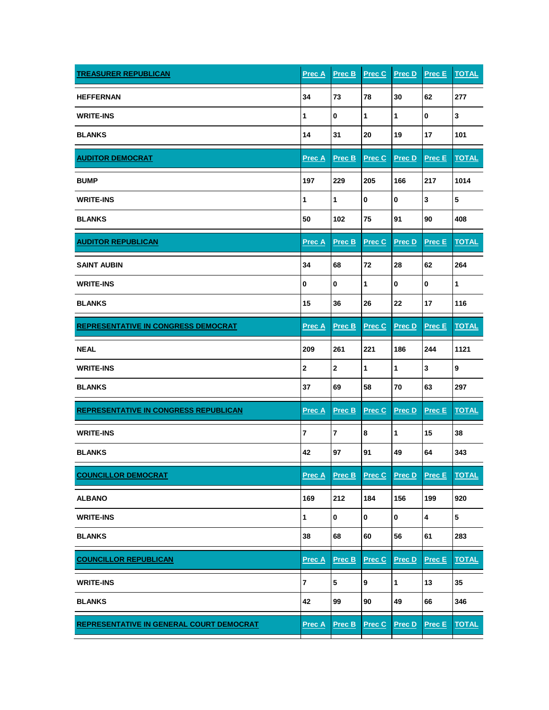| <b>TREASURER REPUBLICAN</b>                     | <b>Prec A</b> | Prec B                  | <b>Prec C</b> | Prec D        | <b>Prec E</b> | <b>TOTAL</b> |
|-------------------------------------------------|---------------|-------------------------|---------------|---------------|---------------|--------------|
| <b>HEFFERNAN</b>                                | 34            | 73                      | 78            | 30            | 62            | 277          |
| <b>WRITE-INS</b>                                | 1             | $\mathbf 0$             | 1             | 1             | 0             | 3            |
| <b>BLANKS</b>                                   | 14            | 31                      | 20            | 19            | 17            | 101          |
| <b>AUDITOR DEMOCRAT</b>                         | Prec A        | Prec B                  | Prec C        | Prec D        | Prec E        | <b>TOTAL</b> |
| <b>BUMP</b>                                     | 197           | 229                     | 205           | 166           | 217           | 1014         |
| <b>WRITE-INS</b>                                | 1             | 1                       | 0             | $\mathbf 0$   | 3             | 5            |
| <b>BLANKS</b>                                   | 50            | 102                     | 75            | 91            | 90            | 408          |
| <b>AUDITOR REPUBLICAN</b>                       | <b>Prec A</b> | Prec B                  | <b>Prec C</b> | <b>Prec D</b> | <b>Prec E</b> | <b>TOTAL</b> |
| <b>SAINT AUBIN</b>                              | 34            | 68                      | 72            | 28            | 62            | 264          |
| <b>WRITE-INS</b>                                | 0             | $\bf{0}$                | 1             | $\pmb{0}$     | 0             | 1            |
| <b>BLANKS</b>                                   | 15            | 36                      | 26            | 22            | 17            | 116          |
| <b>REPRESENTATIVE IN CONGRESS DEMOCRAT</b>      | <b>Prec A</b> | Prec B                  | Prec C        | <b>Prec D</b> | <b>Prec E</b> | <b>TOTAL</b> |
| <b>NEAL</b>                                     | 209           | 261                     | 221           | 186           | 244           | 1121         |
| <b>WRITE-INS</b>                                | $\mathbf 2$   | $\mathbf{2}$            | 1             | 1             | 3             | 9            |
| <b>BLANKS</b>                                   | 37            | 69                      | 58            | 70            | 63            | 297          |
| <b>REPRESENTATIVE IN CONGRESS REPUBLICAN</b>    | <b>Prec A</b> | Prec B                  | Prec C        | Prec D        | Prec E        | <b>TOTAL</b> |
| <b>WRITE-INS</b>                                | 7             | $\overline{\mathbf{r}}$ | 8             | 1             | 15            | 38           |
| <b>BLANKS</b>                                   | 42            | 97                      | 91            | 49            | 64            | 343          |
| <b>COUNCILLOR DEMOCRAT</b>                      | Prec A        | Prec B                  | Prec C        | <b>Prec D</b> | <b>Prec E</b> | <b>TOTAL</b> |
| <b>ALBANO</b>                                   | 169           | 212                     | 184           | 156           | 199           | 920          |
| <b>WRITE-INS</b>                                | 1             | $\pmb{0}$               | 0             | $\pmb{0}$     | 4             | 5            |
| <b>BLANKS</b>                                   | 38            | 68                      | 60            | 56            | 61            | 283          |
| <b>COUNCILLOR REPUBLICAN</b>                    | <b>Prec A</b> | Prec B                  | Prec C        | Prec D        | Prec E        | <b>TOTAL</b> |
| <b>WRITE-INS</b>                                | 7             | 5                       | 9             | 1             | 13            | 35           |
| <b>BLANKS</b>                                   | 42            | 99                      | 90            | 49            | 66            | 346          |
| <b>REPRESENTATIVE IN GENERAL COURT DEMOCRAT</b> | <b>Prec A</b> | Prec B                  | Prec C        | Prec D        | Prec E        | <b>TOTAL</b> |